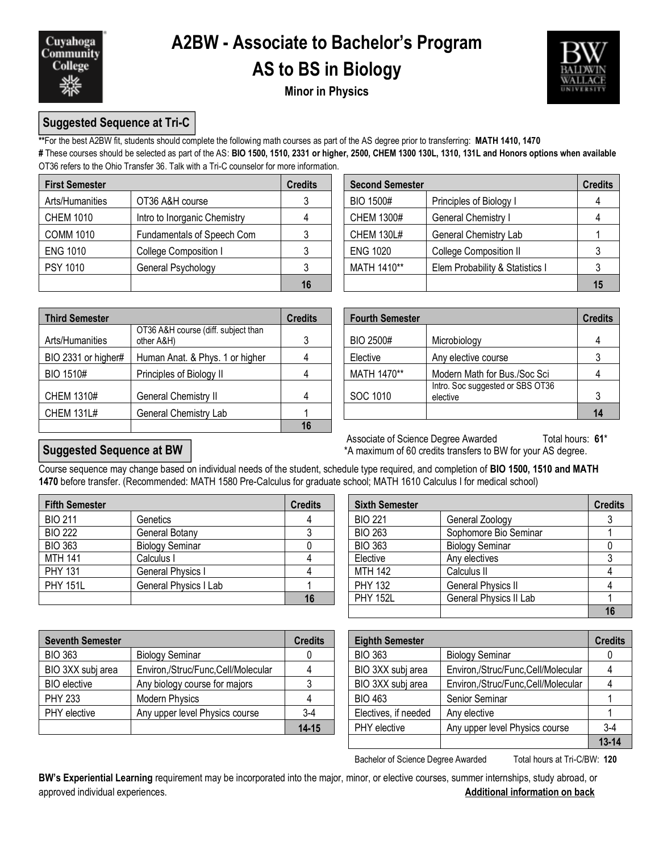

# **A2BW - Associate to Bachelor's Program**

## **AS to BS in Biology**



## **Minor in Physics**

## **Suggested Sequence at Tri-C**

**\*\***For the best A2BW fit, students should complete the following math courses as part of the AS degree prior to transferring: **MATH 1410, 1470 #** These courses should be selected as part of the AS: **BIO 1500, 1510, 2331 or higher, 2500, CHEM 1300 130L, 1310, 131L and Honors options when available** OT36 refers to the Ohio Transfer 36. Talk with a Tri-C counselor for more information.

| <b>First Semester</b> |                              | <b>Credits</b> | <b>Second Semester</b> |                                 | <b>Credits</b> |  |
|-----------------------|------------------------------|----------------|------------------------|---------------------------------|----------------|--|
| Arts/Humanities       | OT36 A&H course              |                | BIO 1500#              | Principles of Biology I         |                |  |
| <b>CHEM 1010</b>      | Intro to Inorganic Chemistry |                | <b>CHEM 1300#</b>      | <b>General Chemistry I</b>      |                |  |
| <b>COMM 1010</b>      | Fundamentals of Speech Com   |                | <b>CHEM 130L#</b>      | <b>General Chemistry Lab</b>    |                |  |
| <b>ENG 1010</b>       | College Composition I        |                | <b>ENG 1020</b>        | <b>College Composition II</b>   |                |  |
| <b>PSY 1010</b>       | General Psychology           |                | MATH 1410**            | Elem Probability & Statistics I |                |  |
|                       |                              | 16             |                        |                                 | 15             |  |

| dits           | <b>Second Semester</b><br><b>Credits</b> |                                 |  |  |  |
|----------------|------------------------------------------|---------------------------------|--|--|--|
| $\mathfrak{Z}$ | <b>BIO 1500#</b>                         | Principles of Biology I         |  |  |  |
| $\overline{4}$ | <b>CHEM 1300#</b>                        | General Chemistry I             |  |  |  |
| 3              | <b>CHEM 130L#</b>                        | General Chemistry Lab           |  |  |  |
| 3              | <b>ENG 1020</b>                          | College Composition II          |  |  |  |
| 3              | MATH 1410**                              | Elem Probability & Statistics I |  |  |  |
| 16             |                                          |                                 |  |  |  |

| <b>Third Semester</b> |                                                   | <b>Credits</b> | <b>Fourth Semester</b> |                                              | <b>Credits</b> |  |
|-----------------------|---------------------------------------------------|----------------|------------------------|----------------------------------------------|----------------|--|
| Arts/Humanities       | OT36 A&H course (diff. subject than<br>other A&H) |                | BIO 2500#              | Microbiology                                 |                |  |
| BIO 2331 or higher#   | Human Anat. & Phys. 1 or higher                   | 4              | Elective               | Any elective course                          |                |  |
| <b>BIO 1510#</b>      | Principles of Biology II                          | 4              | MATH 1470**            | Modern Math for Bus./Soc Sci                 |                |  |
| CHEM 1310#            | <b>General Chemistry II</b>                       | 4              | SOC 1010               | Intro. Soc suggested or SBS OT36<br>elective |                |  |
| <b>CHEM 131L#</b>     | General Chemistry Lab                             |                |                        |                                              | 14             |  |
|                       |                                                   | 16             |                        |                                              |                |  |

|                                                   | <b>Credits</b> | <b>Fourth Semester</b> |                                              |                |  |
|---------------------------------------------------|----------------|------------------------|----------------------------------------------|----------------|--|
| OT36 A&H course (diff. subject than<br>other A&H) | 3              | BIO 2500#              | Microbiology                                 | <b>Credits</b> |  |
| Human Anat. & Phys. 1 or higher                   |                | Elective               | Any elective course                          |                |  |
| Principles of Biology II                          |                | MATH 1470**            | Modern Math for Bus./Soc Sci                 |                |  |
| General Chemistry II                              |                | SOC 1010               | Intro. Soc suggested or SBS OT36<br>elective |                |  |
| General Chemistry Lab                             |                |                        |                                              | 14             |  |

**Suggested Sequence at BW**

Associate of Science Degree Awarded Total hours: 61<sup>\*</sup> \*A maximum of 60 credits transfers to BW for your AS degree.

#### Course sequence may change based on individual needs of the student, schedule type required, and completion of **BIO 1500, 1510 and MATH 1470** before transfer. (Recommended: MATH 1580 Pre-Calculus for graduate school; MATH 1610 Calculus I for medical school)

| <b>Fifth Semester</b> |                        | <b>Credits</b> | <b>Sixth Semester</b> |                           | <b>Credits</b> |
|-----------------------|------------------------|----------------|-----------------------|---------------------------|----------------|
| <b>BIO 211</b>        | Genetics               |                | <b>BIO 221</b>        | General Zoology           |                |
| <b>BIO 222</b>        | General Botany         |                | <b>BIO 263</b>        | Sophomore Bio Seminar     |                |
| <b>BIO 363</b>        | <b>Biology Seminar</b> |                | <b>BIO 363</b>        | <b>Biology Seminar</b>    |                |
| MTH 141               | Calculus I             |                | Elective              | Any electives             |                |
| <b>PHY 131</b>        | General Physics I      |                | <b>MTH 142</b>        | Calculus II               |                |
| <b>PHY 151L</b>       | General Physics I Lab  |                | <b>PHY 132</b>        | <b>General Physics II</b> |                |
|                       |                        | 16             | <b>PHY 152L</b>       | General Physics II Lab    |                |

| <b>Seventh Semester</b> |                                    | <b>Credits</b> | <b>Eighth Semester</b> |                                    |         |
|-------------------------|------------------------------------|----------------|------------------------|------------------------------------|---------|
| <b>BIO 363</b>          | <b>Biology Seminar</b>             |                | <b>BIO 363</b>         | <b>Biology Seminar</b>             |         |
| BIO 3XX subj area       | Environ,/Struc/Func,Cell/Molecular |                | BIO 3XX subj area      | Environ,/Struc/Func,Cell/Molecular |         |
| <b>BIO</b> elective     | Any biology course for majors      |                | BIO 3XX subj area      | Environ,/Struc/Func,Cell/Molecular |         |
| <b>PHY 233</b>          | <b>Modern Physics</b>              |                | <b>BIO 463</b>         | Senior Seminar                     |         |
| PHY elective            | Any upper level Physics course     | $3-4$          | Electives, if needed   | Any elective                       |         |
|                         |                                    | $14 - 15$      | PHY elective           | Any upper level Physics course     | $3 - 4$ |

| dits           | <b>Sixth Semester</b> |                           | <b>Credits</b> |
|----------------|-----------------------|---------------------------|----------------|
| $\overline{4}$ | <b>BIO 221</b>        | General Zoology           |                |
| 3              | <b>BIO 263</b>        | Sophomore Bio Seminar     |                |
| 0              | <b>BIO 363</b>        | <b>Biology Seminar</b>    |                |
|                | Elective              | Any electives             |                |
|                | <b>MTH 142</b>        | Calculus II               |                |
|                | <b>PHY 132</b>        | <b>General Physics II</b> |                |
| 16             | <b>PHY 152L</b>       | General Physics II Lab    |                |
|                |                       |                           |                |

| redits:   | <b>Eighth Semester</b> |                                    | <b>Credits</b> |
|-----------|------------------------|------------------------------------|----------------|
|           | <b>BIO 363</b>         | <b>Biology Seminar</b>             |                |
|           | BIO 3XX subj area      | Environ,/Struc/Func,Cell/Molecular |                |
| 3         | BIO 3XX subj area      | Environ,/Struc/Func,Cell/Molecular |                |
|           | <b>BIO 463</b>         | Senior Seminar                     |                |
| $3-4$     | Electives, if needed   | Any elective                       |                |
| $14 - 15$ | <b>PHY</b> elective    | Any upper level Physics course     | $3-4$          |
|           |                        |                                    | $13 - 14$      |

Bachelor of Science Degree Awarded Total hours at Tri-C/BW: 120

**BW's Experiential Learning** requirement may be incorporated into the major, minor, or elective courses, summer internships, study abroad, or approved individual experiences. **Additional information on back**